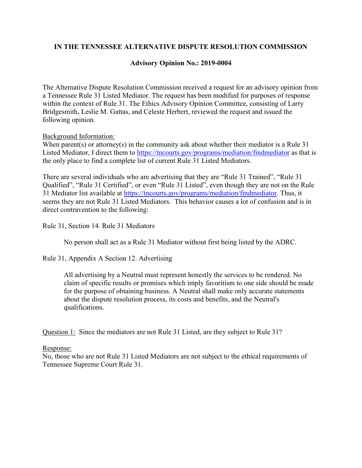## **IN THE TENNESSEE ALTERNATIVE DISPUTE RESOLUTION COMMISSION**

## **Advisory Opinion No.: 2019-0004**

The Alternative Dispute Resolution Commission received a request for an advisory opinion from a Tennessee Rule 31 Listed Mediator. The request has been modified for purposes of response within the context of Rule 31. The Ethics Advisory Opinion Committee, consisting of Larry Bridgesmith, Leslie M. Gattas, and Celeste Herbert, reviewed the request and issued the following opinion.

#### Background Information:

When parent(s) or attorney(s) in the community ask about whether their mediator is a Rule  $31$ Listed Mediator, I direct them to<https://tncourts.gov/programs/mediation/findmediator> as that is the only place to find a complete list of current Rule 31 Listed Mediators.

There are several individuals who are advertising that they are "Rule 31 Trained", "Rule 31 Qualified", "Rule 31 Certified", or even "Rule 31 Listed", even though they are not on the Rule 31 Mediator list available at [https://tncourts.gov/programs/mediation/findmediator.](https://tncourts.gov/programs/mediation/findmediator) Thus, it seems they are not Rule 31 Listed Mediators. This behavior causes a lot of confusion and is in direct contravention to the following:

Rule 31, Section 14. Rule 31 Mediators

No person shall act as a Rule 31 Mediator without first being listed by the ADRC.

Rule 31, Appendix A Section 12. Advertising

All advertising by a Neutral must represent honestly the services to be rendered. No claim of specific results or promises which imply favoritism to one side should be made for the purpose of obtaining business. A Neutral shall make only accurate statements about the dispute resolution process, its costs and benefits, and the Neutral's qualifications.

Question 1: Since the mediators are not Rule 31 Listed, are they subject to Rule 31?

#### Response:

No, those who are not Rule 31 Listed Mediators are not subject to the ethical requirements of Tennessee Supreme Court Rule 31.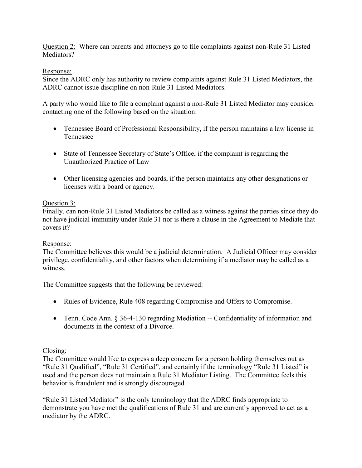Question 2: Where can parents and attorneys go to file complaints against non-Rule 31 Listed Mediators?

# Response:

Since the ADRC only has authority to review complaints against Rule 31 Listed Mediators, the ADRC cannot issue discipline on non-Rule 31 Listed Mediators.

A party who would like to file a complaint against a non-Rule 31 Listed Mediator may consider contacting one of the following based on the situation:

- Tennessee Board of Professional Responsibility, if the person maintains a law license in Tennessee
- State of Tennessee Secretary of State's Office, if the complaint is regarding the Unauthorized Practice of Law
- Other licensing agencies and boards, if the person maintains any other designations or licenses with a board or agency.

# Question 3:

Finally, can non-Rule 31 Listed Mediators be called as a witness against the parties since they do not have judicial immunity under Rule 31 nor is there a clause in the Agreement to Mediate that covers it?

## Response:

The Committee believes this would be a judicial determination. A Judicial Officer may consider privilege, confidentiality, and other factors when determining if a mediator may be called as a witness.

The Committee suggests that the following be reviewed:

- Rules of Evidence, Rule 408 regarding Compromise and Offers to Compromise.
- Tenn. Code Ann. § 36-4-130 regarding Mediation -- Confidentiality of information and documents in the context of a Divorce.

# Closing:

The Committee would like to express a deep concern for a person holding themselves out as "Rule 31 Qualified", "Rule 31 Certified", and certainly if the terminology "Rule 31 Listed" is used and the person does not maintain a Rule 31 Mediator Listing. The Committee feels this behavior is fraudulent and is strongly discouraged.

"Rule 31 Listed Mediator" is the only terminology that the ADRC finds appropriate to demonstrate you have met the qualifications of Rule 31 and are currently approved to act as a mediator by the ADRC.